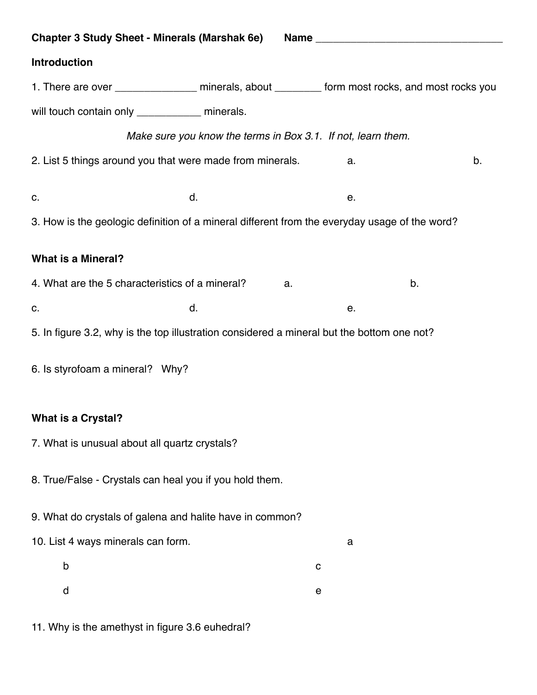| <b>Chapter 3 Study Sheet - Minerals (Marshak 6e)</b>                                            |                                                              |    |    |  |  |
|-------------------------------------------------------------------------------------------------|--------------------------------------------------------------|----|----|--|--|
| Introduction                                                                                    |                                                              |    |    |  |  |
| 1. There are over ________________ minerals, about ________ form most rocks, and most rocks you |                                                              |    |    |  |  |
| will touch contain only ____________ minerals.                                                  |                                                              |    |    |  |  |
|                                                                                                 | Make sure you know the terms in Box 3.1. If not, learn them. |    |    |  |  |
| 2. List 5 things around you that were made from minerals.                                       |                                                              | a. | b. |  |  |
| C.                                                                                              | d.                                                           | е. |    |  |  |
| 3. How is the geologic definition of a mineral different from the everyday usage of the word?   |                                                              |    |    |  |  |
| <b>What is a Mineral?</b>                                                                       |                                                              |    |    |  |  |
|                                                                                                 |                                                              |    |    |  |  |
| 4. What are the 5 characteristics of a mineral?                                                 | a.                                                           |    | b. |  |  |
| C.                                                                                              | d.                                                           | е. |    |  |  |
| 5. In figure 3.2, why is the top illustration considered a mineral but the bottom one not?      |                                                              |    |    |  |  |
| 6. Is styrofoam a mineral? Why?                                                                 |                                                              |    |    |  |  |
| <b>What is a Crystal?</b>                                                                       |                                                              |    |    |  |  |
| 7. What is unusual about all quartz crystals?                                                   |                                                              |    |    |  |  |
|                                                                                                 |                                                              |    |    |  |  |
| 8. True/False - Crystals can heal you if you hold them.                                         |                                                              |    |    |  |  |
| 9. What do crystals of galena and halite have in common?                                        |                                                              |    |    |  |  |
| 10. List 4 ways minerals can form.                                                              |                                                              | a  |    |  |  |
| b                                                                                               |                                                              | C  |    |  |  |
| d                                                                                               |                                                              | е  |    |  |  |
|                                                                                                 |                                                              |    |    |  |  |

11. Why is the amethyst in figure 3.6 euhedral?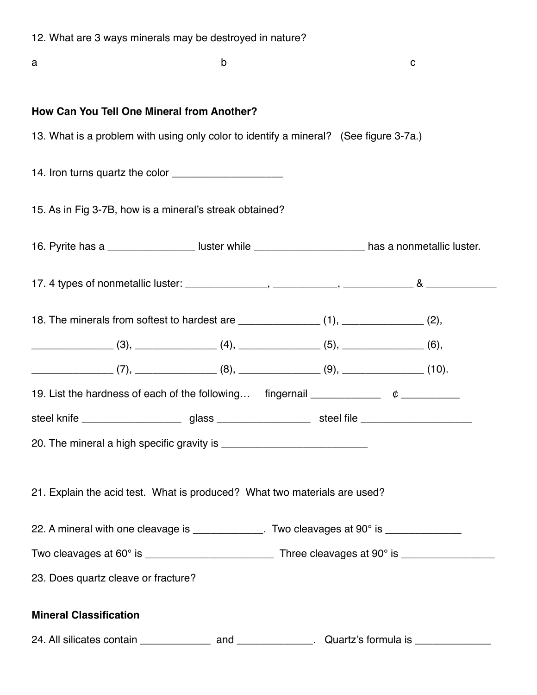|  |  |  |  |  | 12. What are 3 ways minerals may be destroyed in nature? |  |
|--|--|--|--|--|----------------------------------------------------------|--|
|--|--|--|--|--|----------------------------------------------------------|--|

| a                                                                         |                                                                                                                                                                                                                                           | b |  | C |  |  |
|---------------------------------------------------------------------------|-------------------------------------------------------------------------------------------------------------------------------------------------------------------------------------------------------------------------------------------|---|--|---|--|--|
|                                                                           | How Can You Tell One Mineral from Another?                                                                                                                                                                                                |   |  |   |  |  |
|                                                                           | 13. What is a problem with using only color to identify a mineral? (See figure 3-7a.)                                                                                                                                                     |   |  |   |  |  |
|                                                                           |                                                                                                                                                                                                                                           |   |  |   |  |  |
|                                                                           | 15. As in Fig 3-7B, how is a mineral's streak obtained?                                                                                                                                                                                   |   |  |   |  |  |
|                                                                           | 16. Pyrite has a ______________________ luster while ___________________________ has a nonmetallic luster.                                                                                                                                |   |  |   |  |  |
|                                                                           |                                                                                                                                                                                                                                           |   |  |   |  |  |
|                                                                           | 18. The minerals from softest to hardest are _______________(1), ______________(2),                                                                                                                                                       |   |  |   |  |  |
|                                                                           | $(3),$ $(4),$ $(5),$ $(6),$                                                                                                                                                                                                               |   |  |   |  |  |
|                                                                           | $\begin{equation} \begin{equation} \begin{bmatrix} 7 \end{bmatrix}, \end{equation}$ (7), $\begin{equation} \begin{bmatrix} 8 \end{bmatrix}, \end{equation}$ (8), $\begin{equation} \begin{bmatrix} 9 \end{bmatrix}, \end{equation}$ (10). |   |  |   |  |  |
|                                                                           | 19. List the hardness of each of the following fingernail $\mu$ $\ell$ $\mu$                                                                                                                                                              |   |  |   |  |  |
|                                                                           | steel knife __________________________glass ________________________steel file _____________________                                                                                                                                      |   |  |   |  |  |
|                                                                           |                                                                                                                                                                                                                                           |   |  |   |  |  |
| 21. Explain the acid test. What is produced? What two materials are used? |                                                                                                                                                                                                                                           |   |  |   |  |  |
|                                                                           | 22. A mineral with one cleavage is _____________. Two cleavages at 90° is _____________                                                                                                                                                   |   |  |   |  |  |
|                                                                           |                                                                                                                                                                                                                                           |   |  |   |  |  |
| 23. Does quartz cleave or fracture?                                       |                                                                                                                                                                                                                                           |   |  |   |  |  |
| <b>Mineral Classification</b>                                             |                                                                                                                                                                                                                                           |   |  |   |  |  |
|                                                                           |                                                                                                                                                                                                                                           |   |  |   |  |  |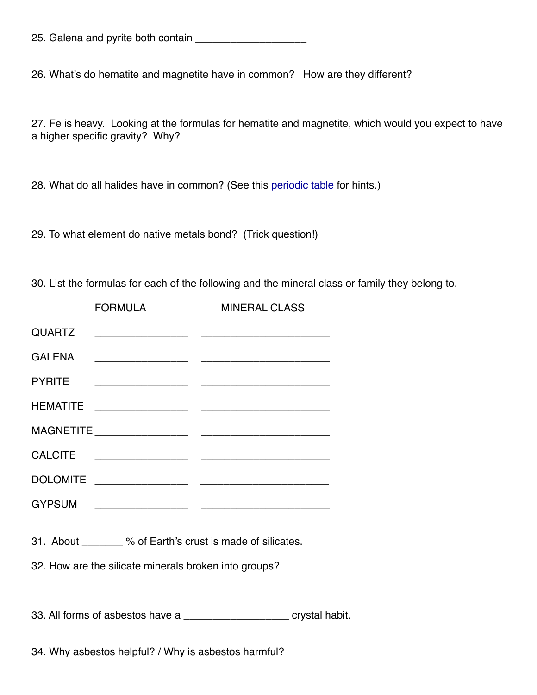|  |  |  |  |  | 25. Galena and pyrite both contain |  |
|--|--|--|--|--|------------------------------------|--|
|--|--|--|--|--|------------------------------------|--|

26. What's do hematite and magnetite have in common? How are they different?

27. Fe is heavy. Looking at the formulas for hematite and magnetite, which would you expect to have a higher specific gravity? Why?

28. What do all halides have in common? (See this [periodic table](http://ptable.com) for hints.)

29. To what element do native metals bond? (Trick question!)

30. List the formulas for each of the following and the mineral class or family they belong to.

|                                                       | <b>FORMULA</b>                                              | <b>MINERAL CLASS</b> |  |  |
|-------------------------------------------------------|-------------------------------------------------------------|----------------------|--|--|
| <b>QUARTZ</b>                                         |                                                             |                      |  |  |
| <b>GALENA</b>                                         |                                                             |                      |  |  |
| <b>PYRITE</b>                                         |                                                             |                      |  |  |
| <b>HEMATITE</b>                                       |                                                             |                      |  |  |
|                                                       |                                                             |                      |  |  |
|                                                       |                                                             |                      |  |  |
|                                                       |                                                             |                      |  |  |
|                                                       |                                                             |                      |  |  |
|                                                       |                                                             |                      |  |  |
|                                                       | 31. About ________ % of Earth's crust is made of silicates. |                      |  |  |
| 32. How are the silicate minerals broken into groups? |                                                             |                      |  |  |

33. All forms of asbestos have a \_\_\_\_\_\_\_\_\_\_\_\_\_\_\_\_\_\_ crystal habit.

34. Why asbestos helpful? / Why is asbestos harmful?